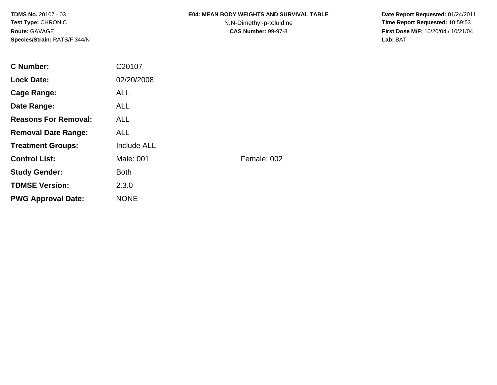#### **E04: MEAN BODY WEIGHTS AND SURVIVAL TABLE**

N,N-Dimethyl-p-toluidine

 **Date Report Requested:** 01/24/2011 **Time Report Requested:** 10:59:53 **First Dose M/F:** 10/20/04 / 10/21/04<br>**Lab:** BAT **Lab:** BAT

| <b>C</b> Number:            | C20107             |             |
|-----------------------------|--------------------|-------------|
| <b>Lock Date:</b>           | 02/20/2008         |             |
| Cage Range:                 | <b>ALL</b>         |             |
| Date Range:                 | <b>ALL</b>         |             |
| <b>Reasons For Removal:</b> | <b>ALL</b>         |             |
| <b>Removal Date Range:</b>  | <b>ALL</b>         |             |
| <b>Treatment Groups:</b>    | <b>Include ALL</b> |             |
| <b>Control List:</b>        | Male: 001          | Female: 002 |
| <b>Study Gender:</b>        | <b>Both</b>        |             |
| <b>TDMSE Version:</b>       | 2.3.0              |             |
| <b>PWG Approval Date:</b>   | <b>NONE</b>        |             |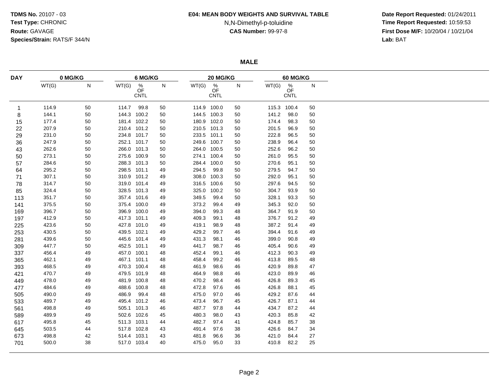#### **E04: MEAN BODY WEIGHTS AND SURVIVAL TABLE**

# N,N-Dimethyl-p-toluidine

 **Date Report Requested:** 01/24/2011 **Time Report Requested:** 10:59:53 **First Dose M/F:** 10/20/04 / 10/21/04<br>**Lab:** BAT **Lab:** BAT

**MALE**

| <b>DAY</b> | 0 MG/KG |    |             | 6 MG/KG                               |    |       | 20 MG/KG                              |    |       | <b>60 MG/KG</b>                       |    |  |  |
|------------|---------|----|-------------|---------------------------------------|----|-------|---------------------------------------|----|-------|---------------------------------------|----|--|--|
|            | WT(G)   | N  | WT(G)       | $\frac{\%}{\text{OF}}$<br><b>CNTL</b> | N  | WT(G) | $\frac{\%}{\text{OF}}$<br><b>CNTL</b> | N  | WT(G) | $\frac{\%}{\text{OF}}$<br><b>CNTL</b> | N  |  |  |
| 1          | 114.9   | 50 | 114.7       | 99.8                                  | 50 |       | 114.9 100.0                           | 50 |       | 115.3 100.4                           | 50 |  |  |
| 8          | 144.1   | 50 | 144.3 100.2 |                                       | 50 | 144.5 | 100.3                                 | 50 | 141.2 | 98.0                                  | 50 |  |  |
| 15         | 177.4   | 50 | 181.4 102.2 |                                       | 50 |       | 180.9 102.0                           | 50 | 174.4 | 98.3                                  | 50 |  |  |
| 22         | 207.9   | 50 | 210.4 101.2 |                                       | 50 | 210.5 | 101.3                                 | 50 | 201.5 | 96.9                                  | 50 |  |  |
| 29         | 231.0   | 50 | 234.8 101.7 |                                       | 50 | 233.5 | 101.1                                 | 50 | 222.8 | 96.5                                  | 50 |  |  |
| 36         | 247.9   | 50 | 252.1 101.7 |                                       | 50 |       | 249.6 100.7                           | 50 | 238.9 | 96.4                                  | 50 |  |  |
| 43         | 262.6   | 50 | 266.0 101.3 |                                       | 50 |       | 264.0 100.5                           | 50 | 252.6 | 96.2                                  | 50 |  |  |
| 50         | 273.1   | 50 | 275.6 100.9 |                                       | 50 |       | 274.1 100.4                           | 50 | 261.0 | 95.5                                  | 50 |  |  |
| 57         | 284.6   | 50 |             | 288.3 101.3                           | 50 |       | 284.4 100.0                           | 50 | 270.6 | 95.1                                  | 50 |  |  |
| 64         | 295.2   | 50 | 298.5 101.1 |                                       | 49 | 294.5 | 99.8                                  | 50 | 279.5 | 94.7                                  | 50 |  |  |
| 71         | 307.1   | 50 | 310.9 101.2 |                                       | 49 | 308.0 | 100.3                                 | 50 | 292.0 | 95.1                                  | 50 |  |  |
| 78         | 314.7   | 50 | 319.0 101.4 |                                       | 49 | 316.5 | 100.6                                 | 50 | 297.6 | 94.5                                  | 50 |  |  |
| 85         | 324.4   | 50 |             | 328.5 101.3                           | 49 | 325.0 | 100.2                                 | 50 | 304.7 | 93.9                                  | 50 |  |  |
| 113        | 351.7   | 50 |             | 357.4 101.6                           | 49 | 349.5 | 99.4                                  | 50 | 328.1 | 93.3                                  | 50 |  |  |
| 141        | 375.5   | 50 |             | 375.4 100.0                           | 49 | 373.2 | 99.4                                  | 49 | 345.3 | 92.0                                  | 50 |  |  |
| 169        | 396.7   | 50 |             | 396.9 100.0                           | 49 | 394.0 | 99.3                                  | 48 | 364.7 | 91.9                                  | 50 |  |  |
| 197        | 412.9   | 50 | 417.3 101.1 |                                       | 49 | 409.3 | 99.1                                  | 48 | 376.7 | 91.2                                  | 49 |  |  |
| 225        | 423.6   | 50 | 427.8 101.0 |                                       | 49 | 419.1 | 98.9                                  | 48 | 387.2 | 91.4                                  | 49 |  |  |
| 253        | 430.5   | 50 | 439.5 102.1 |                                       | 49 | 429.2 | 99.7                                  | 46 | 394.4 | 91.6                                  | 49 |  |  |
| 281        | 439.6   | 50 | 445.6 101.4 |                                       | 49 | 431.3 | 98.1                                  | 46 | 399.0 | 90.8                                  | 49 |  |  |
| 309        | 447.7   | 50 | 452.5 101.1 |                                       | 49 | 441.7 | 98.7                                  | 46 | 405.4 | 90.6                                  | 49 |  |  |
| 337        | 456.4   | 49 | 457.0 100.1 |                                       | 48 | 452.4 | 99.1                                  | 46 | 412.3 | 90.3                                  | 49 |  |  |
| 365        | 462.1   | 49 | 467.1 101.1 |                                       | 48 | 458.4 | 99.2                                  | 46 | 413.8 | 89.5                                  | 48 |  |  |
| 393        | 468.5   | 49 | 470.3 100.4 |                                       | 48 | 461.9 | 98.6                                  | 46 | 420.9 | 89.8                                  | 47 |  |  |
| 421        | 470.7   | 49 | 479.5 101.9 |                                       | 48 | 464.9 | 98.8                                  | 46 | 423.0 | 89.9                                  | 46 |  |  |
| 449        | 478.0   | 49 | 481.9 100.8 |                                       | 48 | 470.2 | 98.4                                  | 46 | 426.8 | 89.3                                  | 45 |  |  |
| 477        | 484.6   | 49 | 488.6 100.8 |                                       | 48 | 472.8 | 97.6                                  | 46 | 426.8 | 88.1                                  | 45 |  |  |
| 505        | 490.0   | 49 | 486.9       | 99.4                                  | 48 | 475.0 | 97.0                                  | 46 | 429.2 | 87.6                                  | 44 |  |  |
| 533        | 489.7   | 49 | 495.4 101.2 |                                       | 46 | 473.4 | 96.7                                  | 45 | 426.7 | 87.1                                  | 44 |  |  |
| 561        | 498.8   | 49 | 505.1 101.3 |                                       | 46 | 487.7 | 97.8                                  | 44 | 434.7 | 87.2                                  | 44 |  |  |
| 589        | 489.9   | 49 | 502.6 102.6 |                                       | 45 | 480.3 | 98.0                                  | 43 | 420.3 | 85.8                                  | 42 |  |  |
| 617        | 495.8   | 45 | 511.3 103.1 |                                       | 44 | 482.7 | 97.4                                  | 41 | 424.8 | 85.7                                  | 38 |  |  |
| 645        | 503.5   | 44 | 517.8 102.8 |                                       | 43 | 491.4 | 97.6                                  | 38 | 426.6 | 84.7                                  | 34 |  |  |
| 673        | 498.8   | 42 | 514.4 103.1 |                                       | 43 | 481.8 | 96.6                                  | 36 | 421.0 | 84.4                                  | 27 |  |  |
| 701        | 500.0   | 38 | 517.0 103.4 |                                       | 40 | 475.0 | 95.0                                  | 33 | 410.8 | 82.2                                  | 25 |  |  |
|            |         |    |             |                                       |    |       |                                       |    |       |                                       |    |  |  |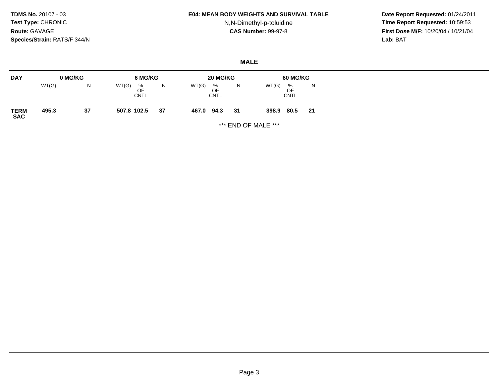#### **E04: MEAN BODY WEIGHTS AND SURVIVAL TABLE**

## N,N-Dimethyl-p-toluidine

 **Date Report Requested:** 01/24/2011 **Time Report Requested:** 10:59:53 **First Dose M/F:** 10/20/04 / 10/21/04<br>**Lab:** BAT **Lab:** BAT

### **MALE**

| <b>DAY</b>          |       | 0 MG/KG | 6 MG/KG                         |    | 20 MG/KG                        |    | <b>60 MG/KG</b>                      |    |
|---------------------|-------|---------|---------------------------------|----|---------------------------------|----|--------------------------------------|----|
|                     | WT(G) | N       | WT(G)<br>%<br>OF<br><b>CNTL</b> | N  | WT(G)<br>%<br>OF<br><b>CNTL</b> | N  | WT(G)<br>%<br>OF<br>◡<br><b>CNTL</b> | N  |
| <b>TERM<br/>SAC</b> | 495.3 | 37      | 507.8 102.5                     | 37 | 94.3<br>467.0                   | 31 | 80.5<br>398.9                        | 21 |

\*\*\* END OF MALE \*\*\*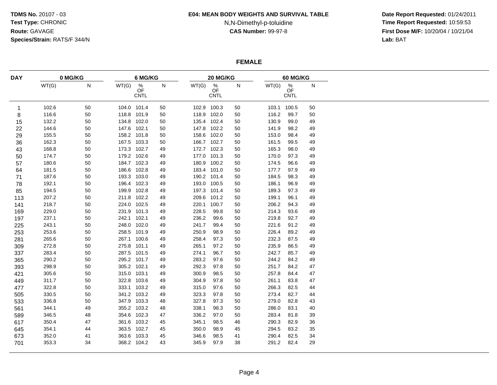#### **E04: MEAN BODY WEIGHTS AND SURVIVAL TABLE**

## N,N-Dimethyl-p-toluidine

 **Date Report Requested:** 01/24/2011 **Time Report Requested:** 10:59:53 **First Dose M/F:** 10/20/04 / 10/21/04<br>**Lab:** BAT **Lab:** BAT

### **FEMALE**

| <b>DAY</b>  | 0 MG/KG<br>6 MG/KG |    |             |                                  |           | 60 MG/KG |                                       |              |       |                                  |           |
|-------------|--------------------|----|-------------|----------------------------------|-----------|----------|---------------------------------------|--------------|-------|----------------------------------|-----------|
|             | WT(G)              | N  | WT(G)       | $\%$<br><b>OF</b><br><b>CNTL</b> | ${\sf N}$ | WT(G)    | 20 MG/KG<br>$\%$<br>OF<br><b>CNTL</b> | $\mathsf{N}$ | WT(G) | $\%$<br><b>OF</b><br><b>CNTL</b> | ${\sf N}$ |
| $\mathbf 1$ | 102.6              | 50 | 104.0 101.4 |                                  | 50        |          | 102.9 100.3                           | 50           | 103.1 | 100.5                            | 50        |
| 8           | 116.6              | 50 | 118.8 101.9 |                                  | 50        |          | 118.9 102.0                           | 50           | 116.2 | 99.7                             | 50        |
| 15          | 132.2              | 50 | 134.8 102.0 |                                  | 50        |          | 135.4 102.4                           | 50           | 130.9 | 99.0                             | 49        |
| 22          | 144.6              | 50 | 147.6 102.1 |                                  | 50        |          | 147.8 102.2                           | 50           | 141.9 | 98.2                             | 49        |
| 29          | 155.5              | 50 | 158.2 101.8 |                                  | 50        |          | 158.6 102.0                           | 50           | 153.0 | 98.4                             | 49        |
| 36          | 162.3              | 50 | 167.5 103.3 |                                  | 50        |          | 166.7 102.7                           | 50           | 161.5 | 99.5                             | 49        |
| 43          | 168.8              | 50 | 173.3 102.7 |                                  | 49        |          | 172.7 102.3                           | 50           | 165.3 | 98.0                             | 49        |
| 50          | 174.7              | 50 | 179.2 102.6 |                                  | 49        |          | 177.0 101.3                           | 50           | 170.0 | 97.3                             | 49        |
| 57          | 180.6              | 50 | 184.7 102.3 |                                  | 49        |          | 180.9 100.2                           | 50           | 174.5 | 96.6                             | 49        |
| 64          | 181.5              | 50 | 186.6 102.8 |                                  | 49        |          | 183.4 101.0                           | 50           | 177.7 | 97.9                             | 49        |
| 71          | 187.6              | 50 | 193.3 103.0 |                                  | 49        |          | 190.2 101.4                           | 50           | 184.5 | 98.3                             | 49        |
| 78          | 192.1              | 50 | 196.4 102.3 |                                  | 49        |          | 193.0 100.5                           | 50           | 186.1 | 96.9                             | 49        |
| 85          | 194.5              | 50 | 199.9 102.8 |                                  | 49        |          | 197.3 101.4                           | 50           | 189.3 | 97.3                             | 49        |
| 113         | 207.2              | 50 | 211.8 102.2 |                                  | 49        |          | 209.6 101.2                           | 50           | 199.1 | 96.1                             | 49        |
| 141         | 218.7              | 50 | 224.0 102.5 |                                  | 49        |          | 220.1 100.7                           | 50           | 206.2 | 94.3                             | 49        |
| 169         | 229.0              | 50 | 231.9 101.3 |                                  | 49        | 228.5    | 99.8                                  | 50           | 214.3 | 93.6                             | 49        |
| 197         | 237.1              | 50 | 242.1 102.1 |                                  | 49        | 236.2    | 99.6                                  | 50           | 219.8 | 92.7                             | 49        |
| 225         | 243.1              | 50 | 248.0 102.0 |                                  | 49        | 241.7    | 99.4                                  | 50           | 221.6 | 91.2                             | 49        |
| 253         | 253.6              | 50 | 258.5 101.9 |                                  | 49        | 250.9    | 98.9                                  | 50           | 226.4 | 89.2                             | 49        |
| 281         | 265.6              | 50 |             | 267.1 100.6                      | 49        | 258.4    | 97.3                                  | 50           | 232.3 | 87.5                             | 49        |
| 309         | 272.8              | 50 | 275.8 101.1 |                                  | 49        | 265.1    | 97.2                                  | 50           | 235.9 | 86.5                             | 49        |
| 337         | 283.4              | 50 | 287.5 101.5 |                                  | 49        | 274.1    | 96.7                                  | 50           | 242.7 | 85.7                             | 49        |
| 365         | 290.2              | 50 | 295.2 101.7 |                                  | 49        | 283.2    | 97.6                                  | 50           | 244.2 | 84.2                             | 49        |
| 393         | 298.9              | 50 | 305.2 102.1 |                                  | 49        | 292.3    | 97.8                                  | 50           | 251.7 | 84.2                             | 47        |
| 421         | 305.6              | 50 | 315.0 103.1 |                                  | 49        | 300.9    | 98.5                                  | 50           | 257.8 | 84.4                             | 47        |
| 449         | 311.7              | 50 |             | 322.8 103.6                      | 49        | 304.9    | 97.8                                  | 50           | 261.1 | 83.8                             | 47        |
| 477         | 322.8              | 50 | 333.1 103.2 |                                  | 49        | 315.0    | 97.6                                  | 50           | 266.3 | 82.5                             | 44        |
| 505         | 330.5              | 50 | 341.2 103.2 |                                  | 49        | 323.3    | 97.8                                  | 50           | 273.4 | 82.7                             | 44        |
| 533         | 336.8              | 50 | 347.9 103.3 |                                  | 48        | 327.8    | 97.3                                  | 50           | 279.0 | 82.8                             | 43        |
| 561         | 344.1              | 49 | 355.2 103.2 |                                  | 48        | 338.1    | 98.3                                  | 50           | 286.0 | 83.1                             | 40        |
| 589         | 346.5              | 48 | 354.6 102.3 |                                  | 47        | 336.2    | 97.0                                  | 50           | 283.4 | 81.8                             | 39        |
| 617         | 350.4              | 47 | 361.6 103.2 |                                  | 45        | 345.1    | 98.5                                  | 46           | 290.3 | 82.9                             | 36        |
| 645         | 354.1              | 44 | 363.5 102.7 |                                  | 45        | 350.0    | 98.9                                  | 45           | 294.5 | 83.2                             | 35        |
| 673         | 352.0              | 41 | 363.6 103.3 |                                  | 45        | 346.6    | 98.5                                  | 41           | 290.4 | 82.5                             | 34        |
| 701         | 353.3              | 34 |             | 368.2 104.2                      | 43        | 345.9    | 97.9                                  | 38           | 291.2 | 82.4                             | 29        |
|             |                    |    |             |                                  |           |          |                                       |              |       |                                  |           |